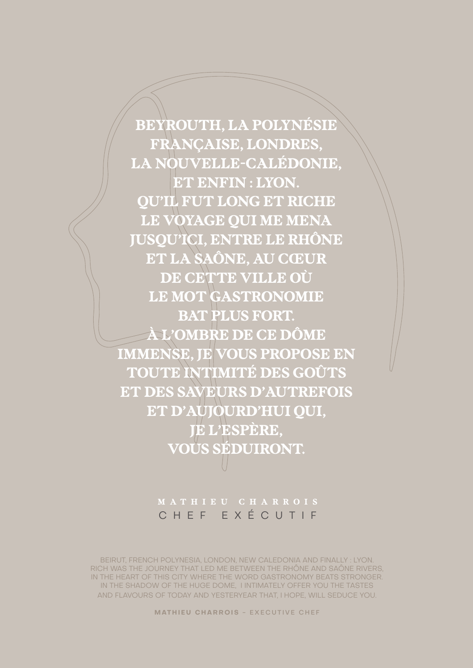#### **MATHIEU CHARROIS** - EXECUTIVE CHEF

BEIRUT, FRENCH POLYNESIA, LONDON, NEW CALEDONIA AND FINALLY : LYON. RICH WAS THE JOURNEY THAT LED ME BETWEEN THE RHÔNE AND SAÔNE RIVERS, IN THE HEART OF THIS CITY WHERE THE WORD GASTRONOMY BEATS STRONGER. IN THE SHADOW OF THE HUGE DOME, I INTIMATELY OFFER YOU THE TASTES AND FLAVOURS OF TODAY AND YESTERYEAR THAT, I HOPE, WILL SEDUCE YOU.

### **M AT H I E U C H A R RO I S** CHEF EXÉCUTIF

**BEYROUTH, LA POLYNÉSIE FRANÇAISE, LONDRES, LA NOUVELLE-CALÉDONIE, ET ENFIN : LYON. QU'IL FUT LONG ET RICHE LE VOYAGE QUI ME MENA JUSQU'ICI, ENTRE LE RHÔNE ET LA SAÔNE, AU CŒUR DE CETTE VILLE OÙ LE MOT GASTRONOMIE BAT PLUS FORT. À L'OMBRE DE CE DÔME IMMENSE, JE VOUS PROPOSE EN TOUTE INTIMITÉ DES GOÛTS ET DES SAVEURS D'AUTREFOIS ET D'AUJOURD'HUI QUI, JE L'ESPÈRE, VOUS SÉDUIRONT.**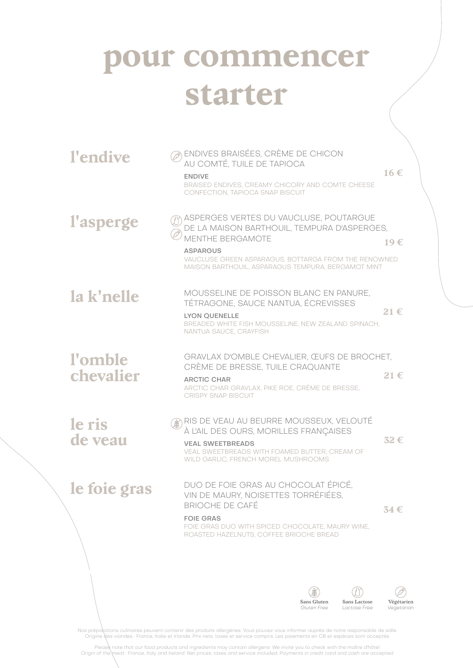## **pour commencer starter**

| l'endive             | ENDIVES BRAISÉES, CRÈME DE CHICON<br>AU COMTÉ, TUILE DE TAPIOCA<br>$16 \in$<br><b>ENDIVE</b><br>BRAISED ENDIVES, CREAMY CHICORY AND COMTE CHEESE<br>CONFECTION, TAPIOCA SNAP BISCUIT                                                                     |
|----------------------|----------------------------------------------------------------------------------------------------------------------------------------------------------------------------------------------------------------------------------------------------------|
| l'asperge            | ASPERGES VERTES DU VAUCLUSE, POUTARGUE<br>DE LA MAISON BARTHOUIL, TEMPURA D'ASPERGES,<br><b>MENTHE BERGAMOTE</b><br>19€<br><b>ASPARGUS</b><br>VAUCLUSE GREEN ASPARAGUS, BOTTARGA FROM THE RENOWNED<br>MAISON BARTHOUIL, ASPARAGUS TEMPURA, BERGAMOT MINT |
| la k'nelle           | MOUSSELINE DE POISSON BLANC EN PANURE,<br>TÉTRAGONE, SAUCE NANTUA, ÉCREVISSES<br>21 $\epsilon$<br><b>LYON OUENELLE</b><br>BREADED WHITE FISH MOUSSELINE, NEW ZEALAND SPINACH,<br>NANTUA SAUCE, CRAYFISH                                                  |
| l'omble<br>chevalier | GRAVLAX D'OMBLE CHEVALIER, ŒUFS DE BROCHET,<br>CRÈME DE BRESSE, TUILE CRAQUANTE<br>$21 \in$<br><b>ARCTIC CHAR</b><br>ARCTIC CHAR GRAVLAX, PIKE ROE, CRÈME DE BRESSE,<br><b>CRISPY SNAP BISCUIT</b>                                                       |
| le ris<br>de veau    | RIS DE VEAU AU BEURRE MOUSSEUX, VELOUTÉ<br>À L'AIL DES OURS, MORILLES FRANÇAISES<br>32€<br><b>VEAL SWEETBREADS</b><br>VEAL SWEETBREADS WITH FOAMED BUTTER, CREAM OF<br>WILD GARLIC, FRENCH MOREL MUSHROOMS                                               |
| le foie gras         | DUO DE FOIE GRAS AU CHOCOLAT ÉPICÉ,<br>VIN DE MAURY, NOISETTES TORRÉFIÉES,<br><b>BRIOCHE DE CAFÉ</b><br>$34 \in$<br><b>FOIE GRAS</b><br>FOIE GRAS DUO WITH SPICED CHOCOLATE, MAURY WINE,<br>ROASTED HAZELNUTS, COFFEE BRIOCHE BREAD                      |
|                      | <b>Sans Gluten</b><br>Végétarien<br><b>Sans Lactose</b><br>Gluten Free<br>Lactose Free<br>Vegetarian                                                                                                                                                     |

Nos préparations culinaires peuvent contenir des produits allergènes. Vous pouvez vous informer auprès de notre responsable de salle<br>Origine des viandes : France, Italie et Irlande. Prix nets, taxes et service compris. Les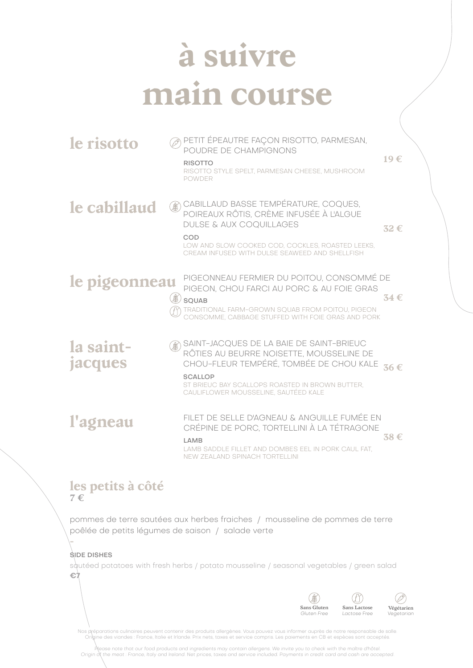# **à suivre main course**

| le risotto           |     | PETIT ÉPEAUTRE FAÇON RISOTTO, PARMESAN,<br>POUDRE DE CHAMPIGNONS<br><b>RISOTTO</b><br>RISOTTO STYLE SPELT, PARMESAN CHEESE, MUSHROOM<br><b>POWDER</b>                                                                                        | 19€            |
|----------------------|-----|----------------------------------------------------------------------------------------------------------------------------------------------------------------------------------------------------------------------------------------------|----------------|
| le cabillaud         | 6\$ | CABILLAUD BASSE TEMPÉRATURE, COQUES,<br>POIREAUX RÔTIS, CRÈME INFUSÉE À L'ALGUE<br><b>DULSE &amp; AUX COQUILLAGES</b><br>COD<br>LOW AND SLOW COOKED COD, COCKLES, ROASTED LEEKS,<br>CREAM INFUSED WITH DULSE SEAWEED AND SHELLFISH           | 32€            |
| le pigeonneau        |     | PIGEONNEAU FERMIER DU POITOU, CONSOMMÉ DE<br>PIGEON, CHOU FARCI AU PORC & AU FOIE GRAS<br>SQUAB<br><b>TRADITIONAL FARM-GROWN SQUAB FROM POITOU, PIGEON</b><br>CONSOMME, CABBAGE STUFFED WITH FOIE GRAS AND PORK                              | $34 \text{ }f$ |
| la saint-<br>jacques |     | SAINT-JACQUES DE LA BAIE DE SAINT-BRIEUC<br>RÔTIES AU BEURRE NOISETTE, MOUSSELINE DE<br>CHOU-FLEUR TEMPÉRÉ, TOMBÉE DE CHOU KALE<br><b>SCALLOP</b><br>ST BRIEUC BAY SCALLOPS ROASTED IN BROWN BUTTER.<br>CAULIFLOWER MOUSSELINE, SAUTÉED KALE | 36€            |
| l'agneau             |     | FILET DE SELLE D'AGNEAU & ANGUILLE FUMÉE EN<br>CRÉPINE DE PORC, TORTELLINI À LA TÉTRAGONE<br>LAMB<br>LAMB SADDLE FILLET AND DOMBES EEL IN PORK CAUL FAT.<br><b>NEW ZEALAND SPINACH TORTELLINI</b>                                            | $38 \in$       |

#### **les petits à côté 7 €**

pommes de terre sautées aux herbes fraiches / mousseline de pommes de terre poêlée de petits légumes de saison / salade verte

#### SIDE DISHES

**-**

squtéed potatoes with fresh herbs / potato mousseline / seasonal vegetables / green salad **€7**



Nos préparations culinaires peuvent contenir des produits allergènes. Vous pouvez vous informer auprès de notre responsable de salle<br>Origine des viandes : France, Italie et Irlande. Prix nets, taxes et service compris. Les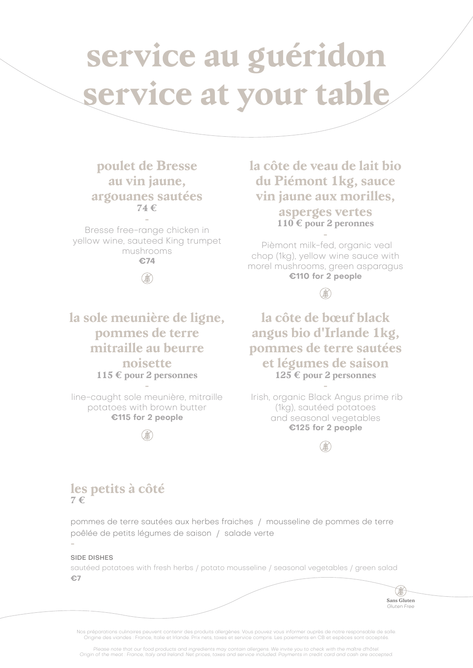# **service au guéridon service at your table**

### **poulet de Bresse au vin jaune, argouanes sautées 74 €**

**-** Bresse free-range chicken in yellow wine, sauteed King trumpet mushrooms **€74**

### (\$6

**la sole meunière de ligne, pommes de terre mitraille au beurre noisette 115 € pour 2 personnes -**

line-caught sole meunière, mitraille potatoes with brown butter **€115 for 2 people**



**la côte de veau de lait bio du Piémont 1kg, sauce vin jaune aux morilles, asperges vertes 110 € pour 2 peronnes -**

 Pièmont milk-fed, organic veal chop (1kg), yellow wine sauce with morel mushrooms, green asparagus **€110 for 2 people**

**B** 

**la côte de bœuf black angus bio d'Irlande 1kg, pommes de terre sautées et légumes de saison 125 € pour 2 personnes**

**-** Irish, organic Black Angus prime rib (1kg), sautéed potatoes and seasonal vegetables **€125 for 2 people**



#### **les petits à côté 7 €**

pommes de terre sautées aux herbes fraiches / mousseline de pommes de terre poêlée de petits légumes de saison / salade verte **-**

#### SIDE DISHES

sautéed potatoes with fresh herbs / potato mousseline / seasonal vegetables / green salad **€7**

> **Sans Gluten** Gluten Fre

Nos préparations culinaires peuvent contenir des produits allergènes. Vous pouvez vous informer auprès de notre respons Origine des viandes : France, Italie et Irlande. Prix nets, taxes et service compris. Les paiements en CB et espèces sont acceptés.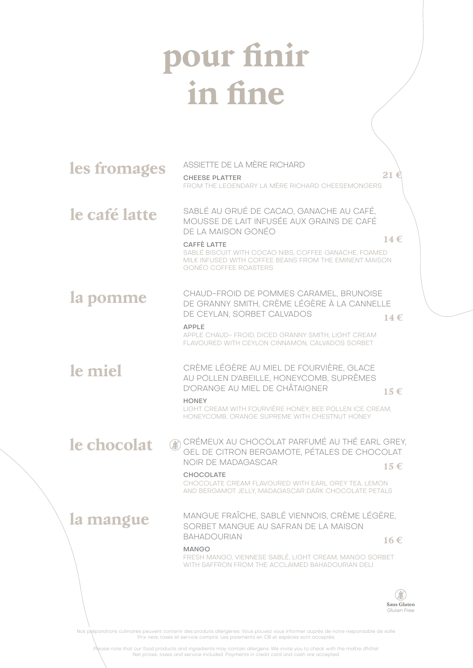# **pour finir in fine**

| les fromages  | ASSIETTE DE LA MÈRE RICHARD<br><b>CHEESE PLATTER</b><br>FROM THE LEGENDARY LA MÈRE RICHARD CHEESEMONGERS                                                                                                                                                                             |                                   |
|---------------|--------------------------------------------------------------------------------------------------------------------------------------------------------------------------------------------------------------------------------------------------------------------------------------|-----------------------------------|
| le café latte | SABLÉ AU GRUÉ DE CACAO, GANACHE AU CAFÉ,<br>MOUSSE DE LAIT INFUSÉE AUX GRAINS DE CAFÉ<br>DE LA MAISON GONÉO<br><b>CAFFÈ LATTE</b><br>SABLÉ BISCUIT WITH COCAO NIBS, COFFEE GANACHE, FOAMED<br>MILK INFUSED WITH COFFEE BEANS FROM THE EMINENT MAISON<br><b>GONÉO COFFEE ROASTERS</b> | 14 $\epsilon$                     |
| la pomme      | CHAUD-FROID DE POMMES CARAMEL, BRUNOISE<br>DE GRANNY SMITH, CRÈME LÉGÈRE À LA CANNELLE<br>DE CEYLAN, SORBET CALVADOS<br><b>APPLE</b><br>APPLE CHAUD- FROID, DICED GRANNY SMITH, LIGHT CREAM<br>FLAVOURED WITH CEYLON CINNAMON, CALVADOS SORBET                                       | 14 $\epsilon$                     |
| le miel       | CRÈME LÉGÈRE AU MIEL DE FOURVIÈRE, GLACE<br>AU POLLEN D'ABEILLE, HONEYCOMB, SUPRÊMES<br>D'ORANGE AU MIEL DE CHÂTAIGNER<br><b>HONEY</b><br>LIGHT CREAM WITH FOURVIÈRE HONEY, BEE POLLEN ICE CREAM,<br>HONEYCOMB, ORANGE SUPREME WITH CHESTNUT HONEY                                   | $15 \in$                          |
| le chocolat   | CHÉMEUX AU CHOCOLAT PARFUMÉ AU THÉ EARL GREY,<br>GEL DE CITRON BERGAMOTE, PÉTALES DE CHOCOLAT<br>NOIR DE MADAGASCAR<br><b>CHOCOLATE</b><br>CHOCOLATE CREAM FLAVOURED WITH EARL GREY TEA, LEMON<br>AND BERGAMOT JELLY, MADAGASCAR DARK CHOCOLATE PETALS                               | $15 \in$                          |
| la mangue     | MANGUE FRAÎCHE, SABLÉ VIENNOIS, CRÈME LÉGÈRE,<br>SORBET MANGUE AU SAFRAN DE LA MAISON<br><b>BAHADOURIAN</b><br><b>MANGO</b><br>FRESH MANGO, VIENNESE SABLÉ, LIGHT CREAM, MANGO SORBET<br>WITH SAFFRON FROM THE ACCLAIMED BAHADOURIAN DELI                                            | $16 \in$                          |
|               |                                                                                                                                                                                                                                                                                      | <b>Sans Gluten</b><br>Gluten Free |

Nos pléparations culinaires peuvent contenir des produits allergènes. Vous pouvez vous informer auprès de notre responsable de salle.<br>Prix nets, taxes et service compris. Les paiements en CB et espèces sont acceptés.